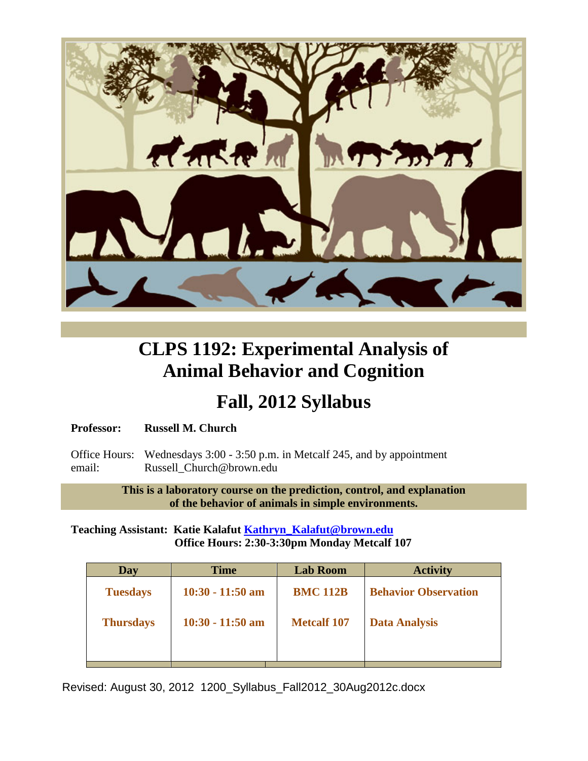

# **CLPS 1192: Experimental Analysis of Animal Behavior and Cognition**

# **Fall, 2012 Syllabus**

# **Professor: Russell M. Church**

Office Hours: Wednesdays 3:00 - 3:50 p.m. in Metcalf 245, and by appointment email: Russell Church@brown.edu

> **This is a laboratory course on the prediction, control, and explanation of the behavior of animals in simple environments.**

# **Teaching Assistant: Katie Kalafut [Kathryn\\_Kalafut@brown.edu](mailto:Kathryn_Kalafut@brown.edu) Office Hours: 2:30-3:30pm Monday Metcalf 107**

| Day              | <b>Time</b>        | <b>Lab Room</b>    | <b>Activity</b>             |
|------------------|--------------------|--------------------|-----------------------------|
| <b>Tuesdays</b>  | $10:30 - 11:50$ am | <b>BMC 112B</b>    | <b>Behavior Observation</b> |
| <b>Thursdays</b> | $10:30 - 11:50$ am | <b>Metcalf 107</b> | <b>Data Analysis</b>        |
|                  |                    |                    |                             |

Revised: August 30, 2012 1200\_Syllabus\_Fall2012\_30Aug2012c.docx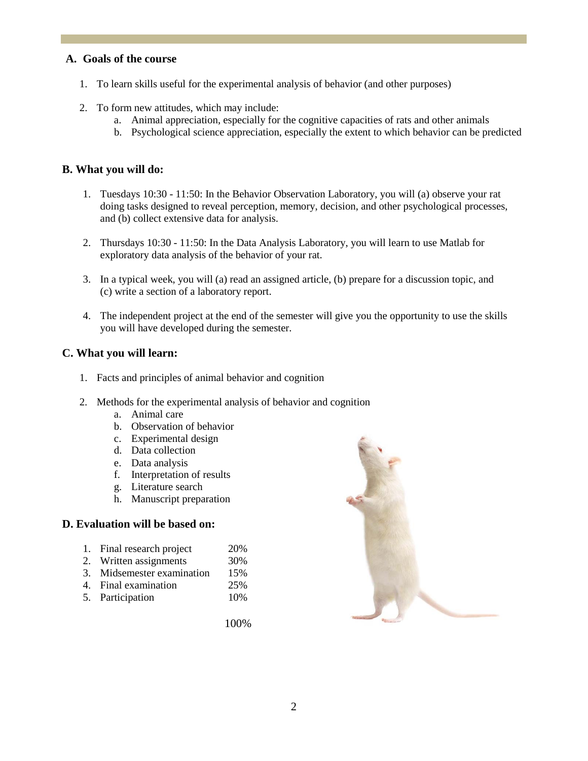## **A. Goals of the course**

- 1. To learn skills useful for the experimental analysis of behavior (and other purposes)
- 2. To form new attitudes, which may include:
	- a. Animal appreciation, especially for the cognitive capacities of rats and other animals
	- b. Psychological science appreciation, especially the extent to which behavior can be predicted

# **B. What you will do:**

- 1. Tuesdays 10:30 11:50: In the Behavior Observation Laboratory, you will (a) observe your rat doing tasks designed to reveal perception, memory, decision, and other psychological processes, and (b) collect extensive data for analysis.
- 2. Thursdays 10:30 11:50: In the Data Analysis Laboratory, you will learn to use Matlab for exploratory data analysis of the behavior of your rat.
- 3. In a typical week, you will (a) read an assigned article, (b) prepare for a discussion topic, and (c) write a section of a laboratory report.
- 4. The independent project at the end of the semester will give you the opportunity to use the skills you will have developed during the semester.

## **C. What you will learn:**

- 1. Facts and principles of animal behavior and cognition
- 2. Methods for the experimental analysis of behavior and cognition
	- a. Animal care
	- b. Observation of behavior
	- c. Experimental design
	- d. Data collection
	- e. Data analysis
	- f. Interpretation of results
	- g. Literature search
	- h. Manuscript preparation

## **D. Evaluation will be based on:**

- 1. Final research project 20%
- 2. Written assignments 30%
- 3. Midsemester examination 15%
- 4. Final examination 25%
- 5. Participation 10%

100%

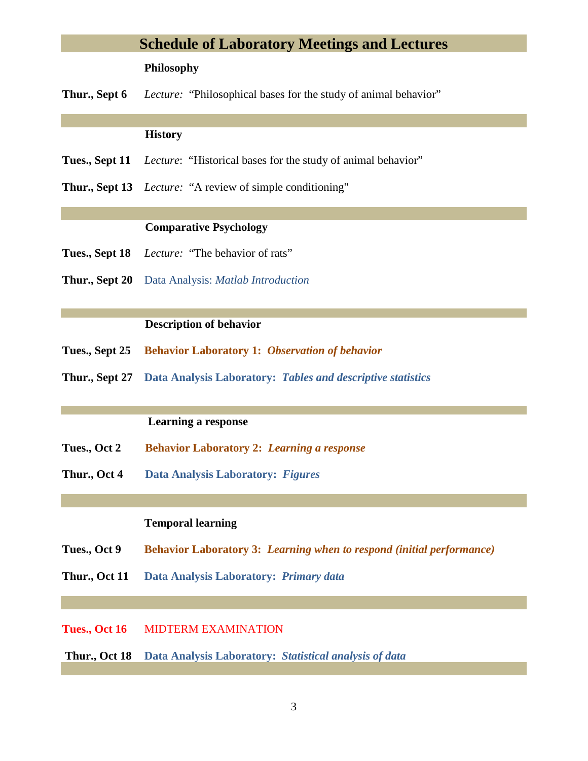# **Schedule of Laboratory Meetings and Lectures**

## **Philosophy**

**Thur., Sept 6** *Lecture:* "Philosophical bases for the study of animal behavior"

### **History**

- **Tues., Sept 11** *Lecture*: "Historical bases for the study of animal behavior"
- **Thur., Sept 13** *Lecture:* "A review of simple conditioning"

### **Comparative Psychology**

- **Tues., Sept 18** *Lecture:* "The behavior of rats"
- **Thur., Sept 20** Data Analysis: *Matlab Introduction*

## **Description of behavior**

- **Tues., Sept 25 Behavior Laboratory 1:** *Observation of behavior*
- **Thur., Sept 27 Data Analysis Laboratory:** *Tables and descriptive statistics*

#### **Learning a response**

- **Tues., Oct 2 Behavior Laboratory 2:** *Learning a response*
- **Thur., Oct 4 Data Analysis Laboratory:** *Figures*

# **Temporal learning**

- **Tues., Oct 9 Behavior Laboratory 3:** *Learning when to respond (initial performance)*
- **Thur., Oct 11 Data Analysis Laboratory:** *Primary data*

# **Tues., Oct 16** MIDTERM EXAMINATION

**Thur., Oct 18 Data Analysis Laboratory:** *Statistical analysis of data*